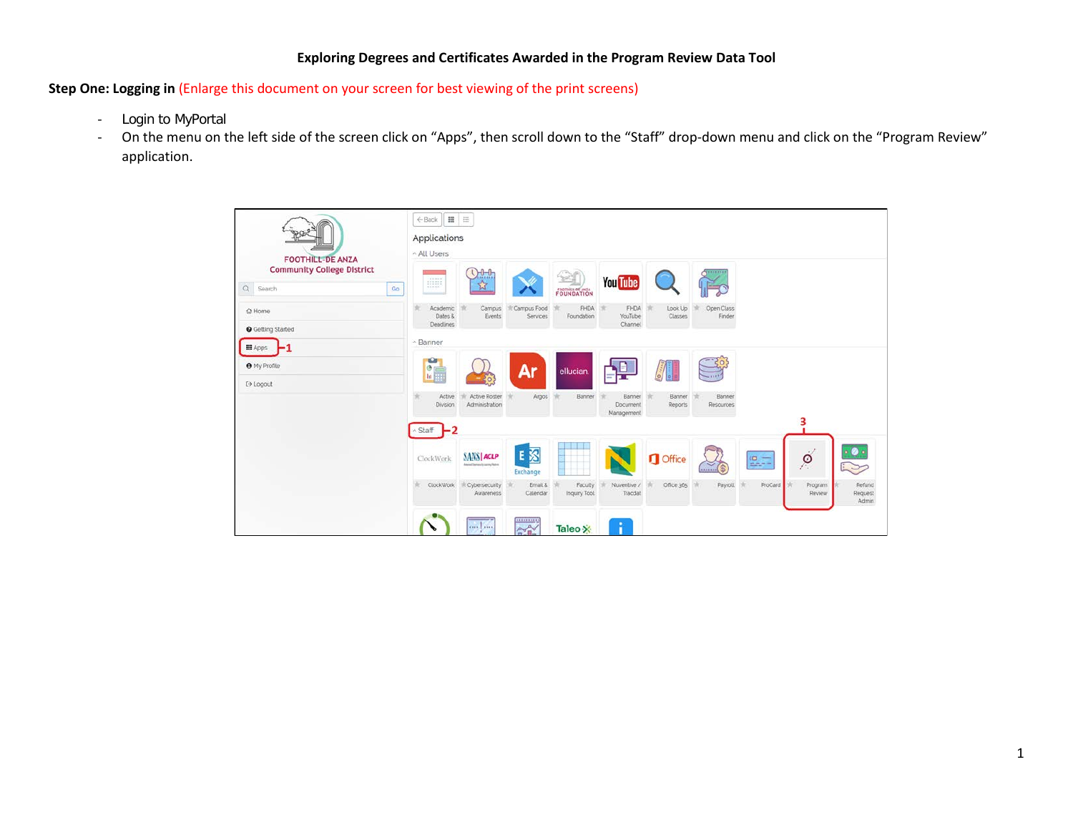### **Exploring Degrees and Certificates Awarded in the Program Review Data Tool**

**Step One: Logging in** (Enlarge this document on your screen for best viewing of the print screens)

- Login to MyPortal
- On the menu on the left side of the screen click on "Apps", then scroll down to the "Staff" drop-down menu and click on the "Program Review" application.

| <b>FOOTHILL-DE ANZA</b>                              | $\qquad \qquad \blacksquare$<br>$\equiv$<br>← Back<br>Applications<br>All Users                                                                                                          |                                                                   |  |  |  |  |  |  |  |  |
|------------------------------------------------------|------------------------------------------------------------------------------------------------------------------------------------------------------------------------------------------|-------------------------------------------------------------------|--|--|--|--|--|--|--|--|
| <b>Community College District</b><br>Q Search<br>Go: | $0 - 0$<br>,,,,,,,,<br><b>You Tube</b><br>钌<br>FOUNDATION                                                                                                                                |                                                                   |  |  |  |  |  |  |  |  |
| @ Home<br><b>O</b> Getting Started                   | <b>FHDA</b><br>Campus Food<br>FHDA<br>Academic<br>Look Up<br>Open Class<br>Campus<br>Dates &<br>Foundation<br>YouTube<br>Classes<br>Events<br>Services<br>Finder<br>Deadlines<br>Channel |                                                                   |  |  |  |  |  |  |  |  |
| <b>III</b> Apps                                      | ~ Banner                                                                                                                                                                                 |                                                                   |  |  |  |  |  |  |  |  |
| <b>O</b> My Profile<br>[→ Logout                     | <b>CO</b><br>Ar<br>$\bullet$<br>ellucian<br>$\ln \frac{1}{2}$<br>$\circ$                                                                                                                 |                                                                   |  |  |  |  |  |  |  |  |
|                                                      | Active Roster<br>Banner<br>Banner<br>Banner<br>Active<br>Argos<br>Banner<br>×<br>Administration<br>Reports<br>Division<br><b>Document</b><br>Resources<br>Management                     |                                                                   |  |  |  |  |  |  |  |  |
|                                                      | -2<br><b>Staff</b>                                                                                                                                                                       | 3                                                                 |  |  |  |  |  |  |  |  |
|                                                      | E 汉<br><b>SANS ACLP</b><br><b>Office</b><br>$\frac{1}{2}$<br>ClockWork<br>Mensi Mensi ci samo fatere<br>Exchange                                                                         | $\cdot$ $\bullet$<br>$\cdot/$<br>$\circ$<br>$\tilde{\phantom{a}}$ |  |  |  |  |  |  |  |  |
|                                                      | ClockWork<br>Nuventive /<br>Office 365<br>Payroll<br>Cybersecurity<br>Email &<br>Faculty<br>Tracdat<br>Inquiry Tool<br>Awareness<br>Calendar                                             | Refund<br>ProCard<br>Program<br>Review<br>Request<br><b>Admin</b> |  |  |  |  |  |  |  |  |
|                                                      | 000000000<br>and my<br>$A^{\prime}$<br>Taleo X                                                                                                                                           |                                                                   |  |  |  |  |  |  |  |  |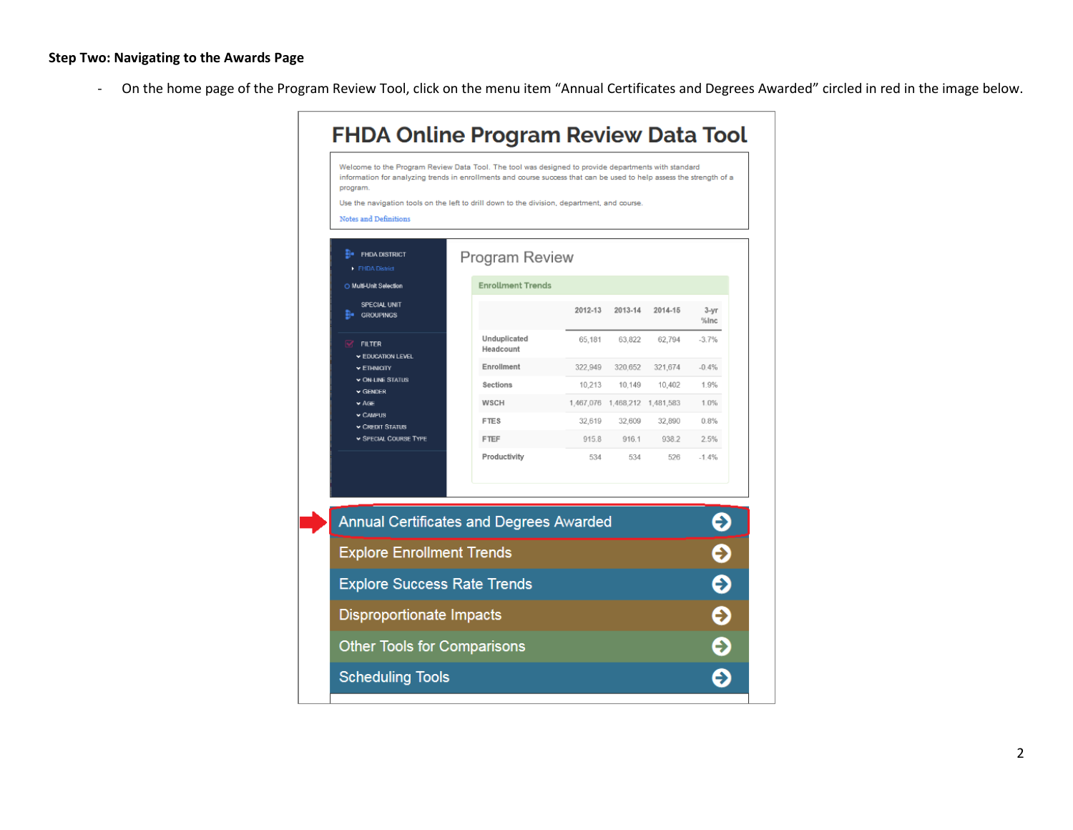# **Step Two: Navigating to the Awards Page**

- On the home page of the Program Review Tool, click on the menu item "Annual Certificates and Degrees Awarded" circled in red in the image below.

| Use the navigation tools on the left to drill down to the division, department, and course.<br><b>Notes and Definitions</b><br><b>H</b> e FHDA DISTRICT<br>Program Review<br>FHDA District<br><b>Enrollment Trends</b><br>O Multi-Unit Selection<br>SPECIAL UNIT<br>2012-13<br>2013-14<br><b>GROUPINGS</b><br>Unduplicated<br>63.822<br>65,181<br><b>FILTER</b><br>Headcount<br><b>EDUCATION LEVEL</b><br>Enrollment<br>322,949<br>320.652<br>$\blacktriangleright$ ETHNICITY<br>$\star$ ON-LINE STATUS<br><b>Sections</b><br>10.213<br>10.149<br>$\blacktriangleright$ GENDER<br><b>WSCH</b><br>1,467,076 1,468,212 1,481,583<br>$\vee$ AGE<br>$\times$ CAMPUS<br><b>FTES</b><br>32,619<br>32.609<br><b>v CREDIT STATUS</b><br>SPECIAL COURSE TYPE<br>FTEF<br>915.8<br>916.1<br>Productivity<br>534<br>534<br><b>Annual Certificates and Degrees Awarded</b><br><b>Explore Enrollment Trends</b><br><b>Explore Success Rate Trends</b><br><b>Other Tools for Comparisons</b> |                    |                                 |  |  |  | Welcome to the Program Review Data Tool. The tool was designed to provide departments with standard<br>information for analyzing trends in enrollments and course success that can be used to help assess the strength of a<br>program. |  |  |
|-------------------------------------------------------------------------------------------------------------------------------------------------------------------------------------------------------------------------------------------------------------------------------------------------------------------------------------------------------------------------------------------------------------------------------------------------------------------------------------------------------------------------------------------------------------------------------------------------------------------------------------------------------------------------------------------------------------------------------------------------------------------------------------------------------------------------------------------------------------------------------------------------------------------------------------------------------------------------------|--------------------|---------------------------------|--|--|--|-----------------------------------------------------------------------------------------------------------------------------------------------------------------------------------------------------------------------------------------|--|--|
|                                                                                                                                                                                                                                                                                                                                                                                                                                                                                                                                                                                                                                                                                                                                                                                                                                                                                                                                                                               |                    |                                 |  |  |  |                                                                                                                                                                                                                                         |  |  |
|                                                                                                                                                                                                                                                                                                                                                                                                                                                                                                                                                                                                                                                                                                                                                                                                                                                                                                                                                                               |                    |                                 |  |  |  |                                                                                                                                                                                                                                         |  |  |
|                                                                                                                                                                                                                                                                                                                                                                                                                                                                                                                                                                                                                                                                                                                                                                                                                                                                                                                                                                               |                    |                                 |  |  |  |                                                                                                                                                                                                                                         |  |  |
|                                                                                                                                                                                                                                                                                                                                                                                                                                                                                                                                                                                                                                                                                                                                                                                                                                                                                                                                                                               | $3-yr$<br>%Inc     | 2014-15                         |  |  |  |                                                                                                                                                                                                                                         |  |  |
|                                                                                                                                                                                                                                                                                                                                                                                                                                                                                                                                                                                                                                                                                                                                                                                                                                                                                                                                                                               | $-3.7%$            | 62,794                          |  |  |  |                                                                                                                                                                                                                                         |  |  |
|                                                                                                                                                                                                                                                                                                                                                                                                                                                                                                                                                                                                                                                                                                                                                                                                                                                                                                                                                                               | $-0.4%$            | 321,674                         |  |  |  |                                                                                                                                                                                                                                         |  |  |
|                                                                                                                                                                                                                                                                                                                                                                                                                                                                                                                                                                                                                                                                                                                                                                                                                                                                                                                                                                               | 1.9%               | 10,402                          |  |  |  |                                                                                                                                                                                                                                         |  |  |
|                                                                                                                                                                                                                                                                                                                                                                                                                                                                                                                                                                                                                                                                                                                                                                                                                                                                                                                                                                               | 1.0%               |                                 |  |  |  |                                                                                                                                                                                                                                         |  |  |
|                                                                                                                                                                                                                                                                                                                                                                                                                                                                                                                                                                                                                                                                                                                                                                                                                                                                                                                                                                               | 0.8%               | 32,890                          |  |  |  |                                                                                                                                                                                                                                         |  |  |
|                                                                                                                                                                                                                                                                                                                                                                                                                                                                                                                                                                                                                                                                                                                                                                                                                                                                                                                                                                               | 2.5%               | 938.2                           |  |  |  |                                                                                                                                                                                                                                         |  |  |
|                                                                                                                                                                                                                                                                                                                                                                                                                                                                                                                                                                                                                                                                                                                                                                                                                                                                                                                                                                               | $-1.4%$            | 526                             |  |  |  |                                                                                                                                                                                                                                         |  |  |
|                                                                                                                                                                                                                                                                                                                                                                                                                                                                                                                                                                                                                                                                                                                                                                                                                                                                                                                                                                               |                    |                                 |  |  |  |                                                                                                                                                                                                                                         |  |  |
|                                                                                                                                                                                                                                                                                                                                                                                                                                                                                                                                                                                                                                                                                                                                                                                                                                                                                                                                                                               | $\rightarrow$      |                                 |  |  |  |                                                                                                                                                                                                                                         |  |  |
|                                                                                                                                                                                                                                                                                                                                                                                                                                                                                                                                                                                                                                                                                                                                                                                                                                                                                                                                                                               | $\hat{\mathbf{z}}$ |                                 |  |  |  |                                                                                                                                                                                                                                         |  |  |
|                                                                                                                                                                                                                                                                                                                                                                                                                                                                                                                                                                                                                                                                                                                                                                                                                                                                                                                                                                               | Ð                  |                                 |  |  |  |                                                                                                                                                                                                                                         |  |  |
|                                                                                                                                                                                                                                                                                                                                                                                                                                                                                                                                                                                                                                                                                                                                                                                                                                                                                                                                                                               | Ð                  | <b>Disproportionate Impacts</b> |  |  |  |                                                                                                                                                                                                                                         |  |  |
|                                                                                                                                                                                                                                                                                                                                                                                                                                                                                                                                                                                                                                                                                                                                                                                                                                                                                                                                                                               | ∍                  |                                 |  |  |  |                                                                                                                                                                                                                                         |  |  |
| <b>Scheduling Tools</b>                                                                                                                                                                                                                                                                                                                                                                                                                                                                                                                                                                                                                                                                                                                                                                                                                                                                                                                                                       | →                  |                                 |  |  |  |                                                                                                                                                                                                                                         |  |  |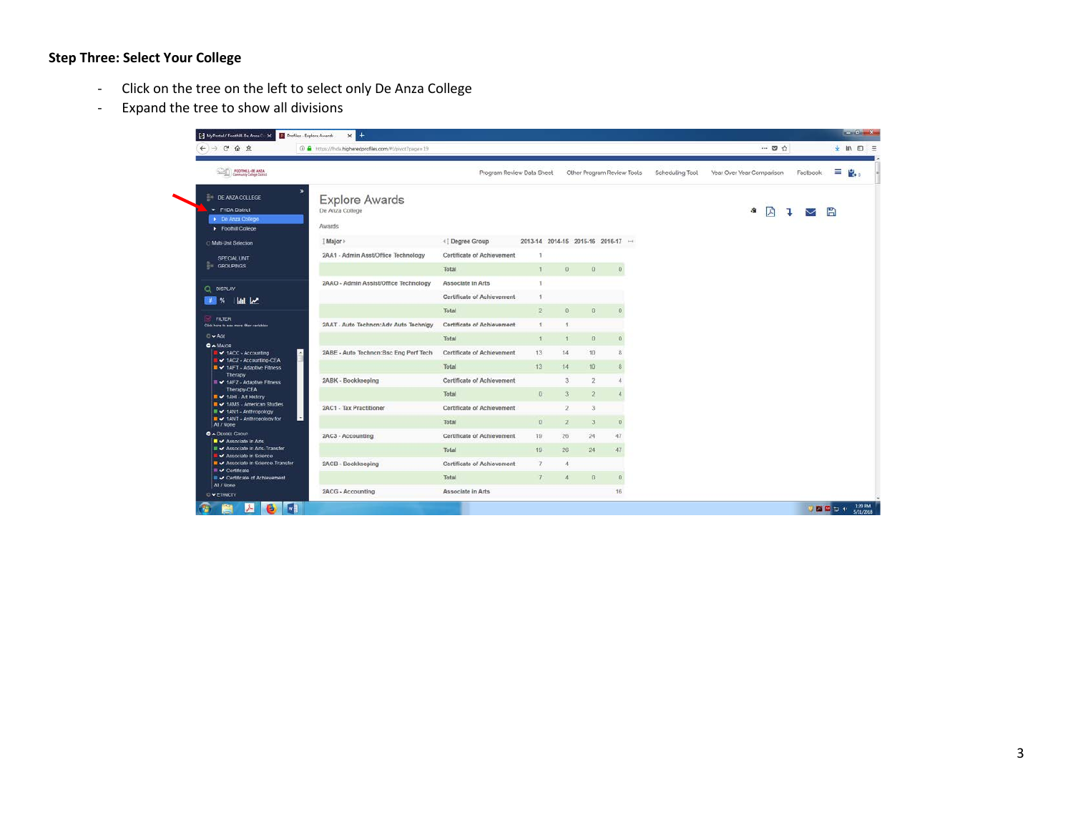#### **Step Three: Select Your College**

- Click on the tree on the left to select only De Anza College
- Expand the tree to show all divisions

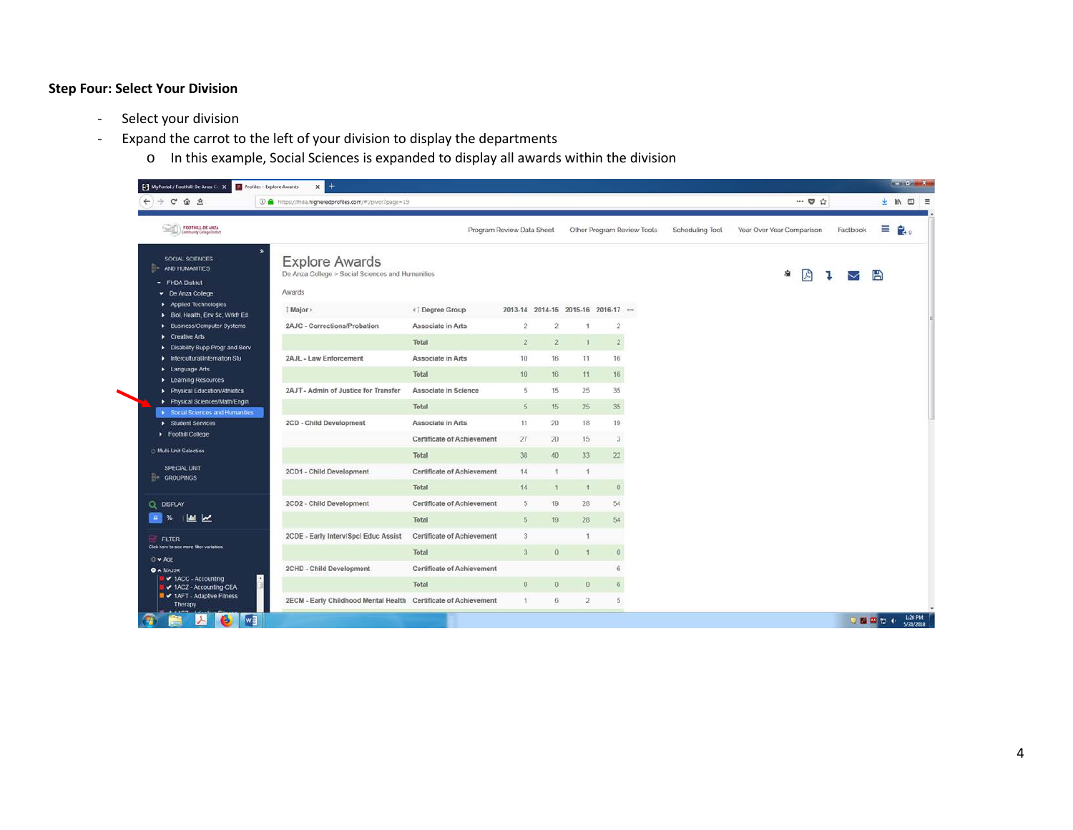## **Step Four: Select Your Division**

- Select your division
- Expand the carrot to the left of your division to display the departments
	- o In this example, Social Sciences is expanded to display all awards within the division

| $\leftarrow$ $\rightarrow$ $C$ $\Omega$ $\Omega$                               | 49 Mttps://fhda.higheredprofiles.com/#1/pivot?page=19                               |                                   |                                             |                |                |                |                            |                 | $\cdots \nabla \nabla$    |    |          |   | → Ⅲ Ⅲ 三                 |
|--------------------------------------------------------------------------------|-------------------------------------------------------------------------------------|-----------------------------------|---------------------------------------------|----------------|----------------|----------------|----------------------------|-----------------|---------------------------|----|----------|---|-------------------------|
| <b>CONTROLL-DE ANZA</b><br>Community College District                          |                                                                                     | Program Review Data Sheet         |                                             |                |                |                | Other Program Review Tools | Scheduling Tool | Year Over Year Comparison |    | Factbook |   | $\equiv$ $\mathbf{e}$ . |
| SOCIAL SCIENCES<br><b>AND HUMANITIES</b><br>- FHDA District<br>De Anza College | <b>Explore Awards</b><br>De Anza College > Social Sciences and Humanities<br>Awards |                                   |                                             |                |                |                |                            |                 | $\mathbb{Z}$<br>Ś.        | ъ. | M        | 冎 |                         |
| Applied Technologies                                                           | [ Major >                                                                           | «   Degree Group                  | $2013-14$ $2014-15$ $2015-16$ $2016-17$ $-$ |                |                |                |                            |                 |                           |    |          |   |                         |
| Biol, Health, Env Sc, Wrkfr Ed<br>Business/Computer Systems                    | 2AJC - Corrections/Probation                                                        | Associate in Arts                 | $\overline{2}$                              | $\overline{2}$ | 1              | $\overline{2}$ |                            |                 |                           |    |          |   |                         |
| Creative Arts                                                                  |                                                                                     | Total                             | $\mathfrak{2}$                              | $\overline{2}$ | $\mathbf{1}$   | $\mathbf{2}$   |                            |                 |                           |    |          |   |                         |
| Disability Supp Progr and Serv<br>Intercultural/Internation Stu                | 2AJL - Law Enforcement                                                              | Associate in Arts                 | 10                                          | 16             | 11             | 16             |                            |                 |                           |    |          |   |                         |
| > Language Arts                                                                |                                                                                     |                                   |                                             |                |                |                |                            |                 |                           |    |          |   |                         |
| <b>E</b> Learning Resources                                                    |                                                                                     | Total                             | 10                                          | 16.            | 11             | 16             |                            |                 |                           |    |          |   |                         |
| Physical Education/Athletics                                                   | 2AJT - Admin of Justice for Transfer                                                | Associate in Science              | 5.                                          | 15             | 25             | 35             |                            |                 |                           |    |          |   |                         |
| Physical Sciences/Math/Engin<br>> Social Sciences and Humanities               |                                                                                     | Total                             | $5^{\circ}$                                 | 15             | 25             | 35             |                            |                 |                           |    |          |   |                         |
| Student Services                                                               | 2CD - Child Development                                                             | Associate in Arts                 | 11                                          | 20             | 18             | 19             |                            |                 |                           |    |          |   |                         |
| Foothill College                                                               |                                                                                     | Certificate of Achievement        | 27                                          | 20             | 15             | 3              |                            |                 |                           |    |          |   |                         |
| Multi-Unit Selection                                                           |                                                                                     | Total                             | 38                                          | 40             | 33             | 22             |                            |                 |                           |    |          |   |                         |
| SPECIAL UNIT                                                                   | 2CD1 - Child Development                                                            | <b>Certificate of Achievement</b> | 14 <sup>°</sup>                             |                | $\overline{A}$ |                |                            |                 |                           |    |          |   |                         |
| <b>GROUPINGS</b>                                                               |                                                                                     | Total                             | 14                                          | $\mathbf{1}$   | $\mathbf{1}$   | $\overline{0}$ |                            |                 |                           |    |          |   |                         |
|                                                                                |                                                                                     |                                   |                                             |                |                |                |                            |                 |                           |    |          |   |                         |
| Q DISPLAY                                                                      | 2CD2 - Child Development                                                            | <b>Certificate of Achievement</b> | 5                                           | 19             | 28             | 54             |                            |                 |                           |    |          |   |                         |
| <b>MILL</b><br>$# $ %                                                          |                                                                                     | Total                             | 5                                           | 19             | 28             | 54             |                            |                 |                           |    |          |   |                         |
| FILTER                                                                         | 2CDE - Early Interv/SpcI Educ Assist                                                | <b>Certificate of Achievement</b> | 3                                           |                | 1              |                |                            |                 |                           |    |          |   |                         |
| Click here to see more fiter variables<br>O w AGE                              |                                                                                     | Total                             | 3 <sup>°</sup>                              | 0              | 1              | $\theta$       |                            |                 |                           |    |          |   |                         |
| <b>O A MAJOR</b>                                                               | 2CHD - Child Development                                                            | <b>Certificate of Achievement</b> |                                             |                |                | 6              |                            |                 |                           |    |          |   |                         |
| ■ v 1ACC - Accounting<br>■ v 1ACZ - Accounting-CEA                             |                                                                                     | Total                             | $\theta$                                    | $\theta$       | $\theta$       | 6              |                            |                 |                           |    |          |   |                         |
| ■ v 1AFT - Adaptive Fitness<br>Therapy                                         | 2ECM - Early Childhood Mental Health Certificate of Achievement                     |                                   | Ŧ                                           | 6              | $\overline{2}$ | 5              |                            |                 |                           |    |          |   |                         |